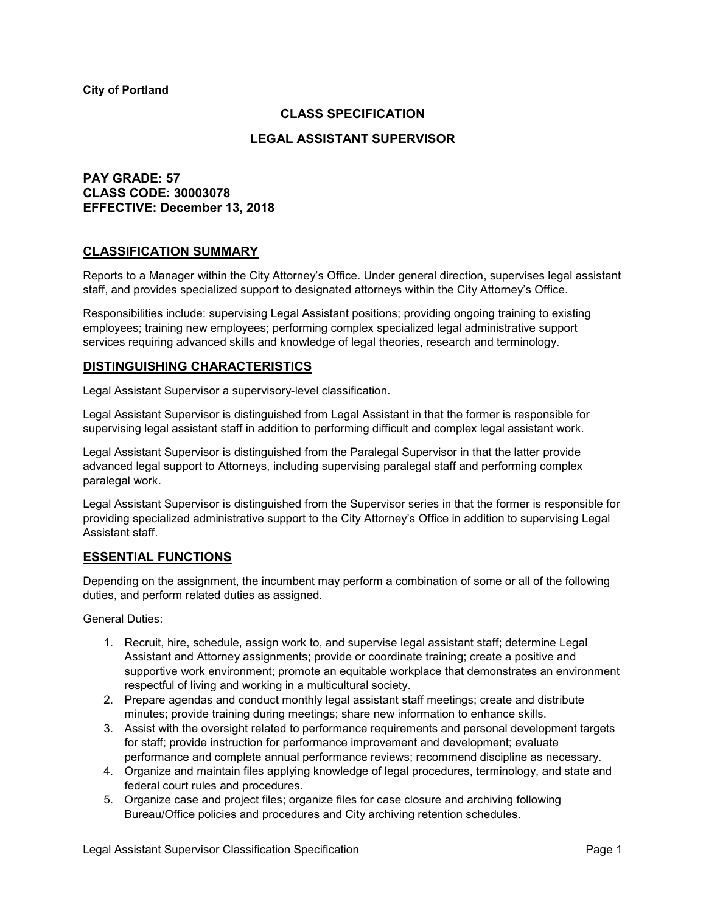## **CLASS SPECIFICATION**

### **LEGAL ASSISTANT SUPERVISOR**

## **PAY GRADE: 57 CLASS CODE: 30003078 EFFECTIVE: December 13, 2018**

### **CLASSIFICATION SUMMARY**

Reports to a Manager within the City Attorney's Office. Under general direction, supervises legal assistant staff, and provides specialized support to designated attorneys within the City Attorney's Office.

Responsibilities include: supervising Legal Assistant positions; providing ongoing training to existing employees; training new employees; performing complex specialized legal administrative support services requiring advanced skills and knowledge of legal theories, research and terminology.

### **DISTINGUISHING CHARACTERISTICS**

Legal Assistant Supervisor a supervisory-level classification.

Legal Assistant Supervisor is distinguished from Legal Assistant in that the former is responsible for supervising legal assistant staff in addition to performing difficult and complex legal assistant work.

Legal Assistant Supervisor is distinguished from the Paralegal Supervisor in that the latter provide advanced legal support to Attorneys, including supervising paralegal staff and performing complex paralegal work.

Legal Assistant Supervisor is distinguished from the Supervisor series in that the former is responsible for providing specialized administrative support to the City Attorney's Office in addition to supervising Legal Assistant staff.

#### **ESSENTIAL FUNCTIONS**

Depending on the assignment, the incumbent may perform a combination of some or all of the following duties, and perform related duties as assigned.

General Duties:

- 1. Recruit, hire, schedule, assign work to, and supervise legal assistant staff; determine Legal Assistant and Attorney assignments; provide or coordinate training; create a positive and supportive work environment; promote an equitable workplace that demonstrates an environment respectful of living and working in a multicultural society.
- 2. Prepare agendas and conduct monthly legal assistant staff meetings; create and distribute minutes; provide training during meetings; share new information to enhance skills.
- 3. Assist with the oversight related to performance requirements and personal development targets for staff; provide instruction for performance improvement and development; evaluate performance and complete annual performance reviews; recommend discipline as necessary.
- 4. Organize and maintain files applying knowledge of legal procedures, terminology, and state and federal court rules and procedures.
- 5. Organize case and project files; organize files for case closure and archiving following Bureau/Office policies and procedures and City archiving retention schedules.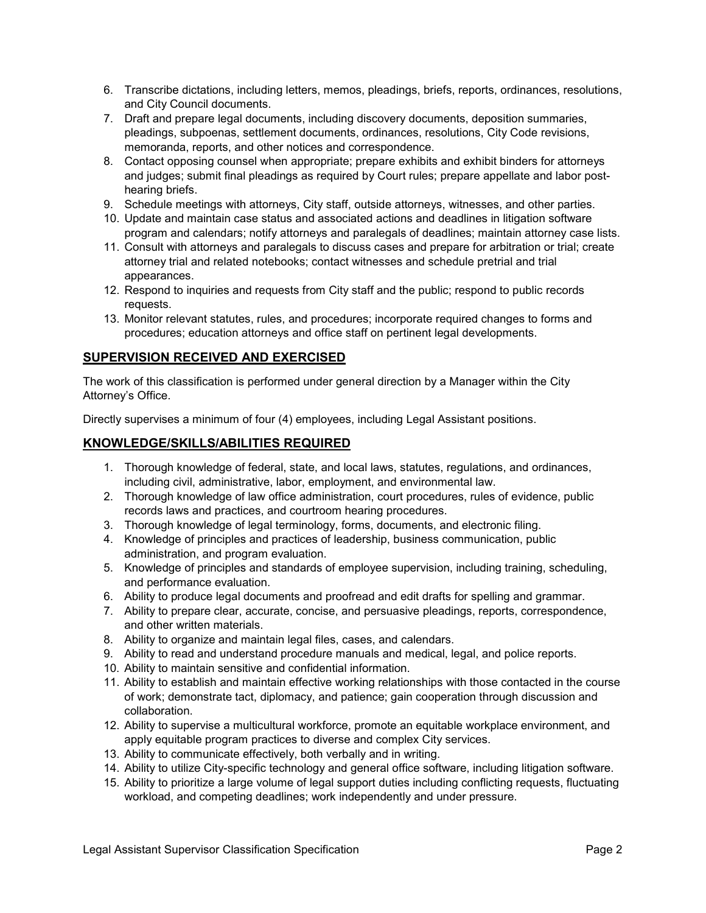- 6. Transcribe dictations, including letters, memos, pleadings, briefs, reports, ordinances, resolutions, and City Council documents.
- 7. Draft and prepare legal documents, including discovery documents, deposition summaries, pleadings, subpoenas, settlement documents, ordinances, resolutions, City Code revisions, memoranda, reports, and other notices and correspondence.
- 8. Contact opposing counsel when appropriate; prepare exhibits and exhibit binders for attorneys and judges; submit final pleadings as required by Court rules; prepare appellate and labor posthearing briefs.
- 9. Schedule meetings with attorneys, City staff, outside attorneys, witnesses, and other parties.
- 10. Update and maintain case status and associated actions and deadlines in litigation software program and calendars; notify attorneys and paralegals of deadlines; maintain attorney case lists.
- 11. Consult with attorneys and paralegals to discuss cases and prepare for arbitration or trial; create attorney trial and related notebooks; contact witnesses and schedule pretrial and trial appearances.
- 12. Respond to inquiries and requests from City staff and the public; respond to public records requests.
- 13. Monitor relevant statutes, rules, and procedures; incorporate required changes to forms and procedures; education attorneys and office staff on pertinent legal developments.

# **SUPERVISION RECEIVED AND EXERCISED**

The work of this classification is performed under general direction by a Manager within the City Attorney's Office.

Directly supervises a minimum of four (4) employees, including Legal Assistant positions.

## **KNOWLEDGE/SKILLS/ABILITIES REQUIRED**

- 1. Thorough knowledge of federal, state, and local laws, statutes, regulations, and ordinances, including civil, administrative, labor, employment, and environmental law.
- 2. Thorough knowledge of law office administration, court procedures, rules of evidence, public records laws and practices, and courtroom hearing procedures.
- 3. Thorough knowledge of legal terminology, forms, documents, and electronic filing.
- 4. Knowledge of principles and practices of leadership, business communication, public administration, and program evaluation.
- 5. Knowledge of principles and standards of employee supervision, including training, scheduling, and performance evaluation.
- 6. Ability to produce legal documents and proofread and edit drafts for spelling and grammar.
- 7. Ability to prepare clear, accurate, concise, and persuasive pleadings, reports, correspondence, and other written materials.
- 8. Ability to organize and maintain legal files, cases, and calendars.
- 9. Ability to read and understand procedure manuals and medical, legal, and police reports.
- 10. Ability to maintain sensitive and confidential information.
- 11. Ability to establish and maintain effective working relationships with those contacted in the course of work; demonstrate tact, diplomacy, and patience; gain cooperation through discussion and collaboration.
- 12. Ability to supervise a multicultural workforce, promote an equitable workplace environment, and apply equitable program practices to diverse and complex City services.
- 13. Ability to communicate effectively, both verbally and in writing.
- 14. Ability to utilize City-specific technology and general office software, including litigation software.
- 15. Ability to prioritize a large volume of legal support duties including conflicting requests, fluctuating workload, and competing deadlines; work independently and under pressure.